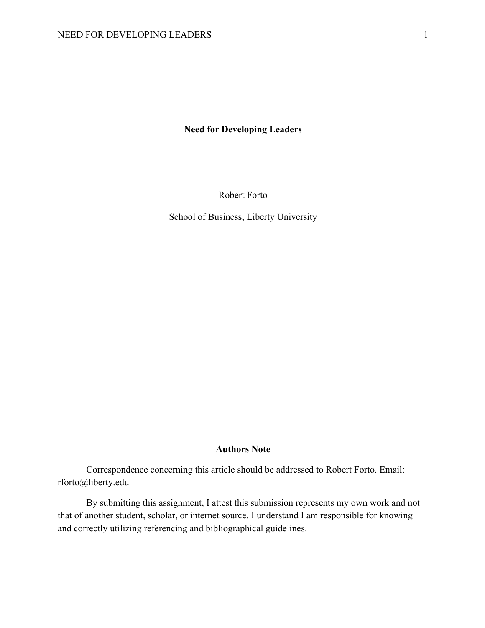**Need for Developing Leaders**

Robert Forto

School of Business, Liberty University

## **Authors Note**

Correspondence concerning this article should be addressed to Robert Forto. Email: rforto@liberty.edu

By submitting this assignment, I attest this submission represents my own work and not that of another student, scholar, or internet source. I understand I am responsible for knowing and correctly utilizing referencing and bibliographical guidelines.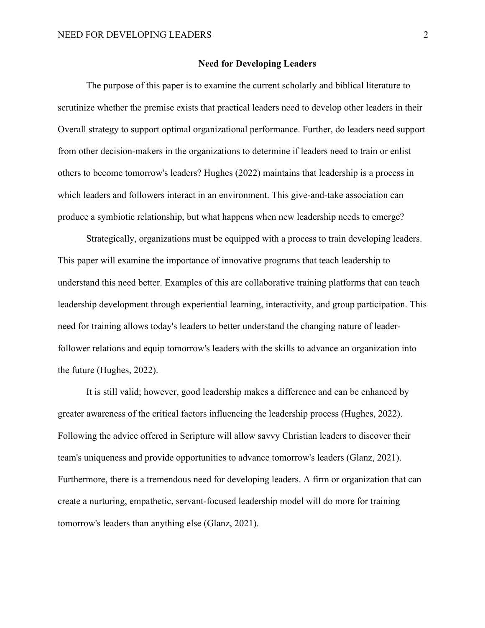### **Need for Developing Leaders**

The purpose of this paper is to examine the current scholarly and biblical literature to scrutinize whether the premise exists that practical leaders need to develop other leaders in their Overall strategy to support optimal organizational performance. Further, do leaders need support from other decision-makers in the organizations to determine if leaders need to train or enlist others to become tomorrow's leaders? Hughes (2022) maintains that leadership is a process in which leaders and followers interact in an environment. This give-and-take association can produce a symbiotic relationship, but what happens when new leadership needs to emerge?

Strategically, organizations must be equipped with a process to train developing leaders. This paper will examine the importance of innovative programs that teach leadership to understand this need better. Examples of this are collaborative training platforms that can teach leadership development through experiential learning, interactivity, and group participation. This need for training allows today's leaders to better understand the changing nature of leaderfollower relations and equip tomorrow's leaders with the skills to advance an organization into the future (Hughes, 2022).

It is still valid; however, good leadership makes a difference and can be enhanced by greater awareness of the critical factors influencing the leadership process (Hughes, 2022). Following the advice offered in Scripture will allow savvy Christian leaders to discover their team's uniqueness and provide opportunities to advance tomorrow's leaders (Glanz, 2021). Furthermore, there is a tremendous need for developing leaders. A firm or organization that can create a nurturing, empathetic, servant-focused leadership model will do more for training tomorrow's leaders than anything else (Glanz, 2021).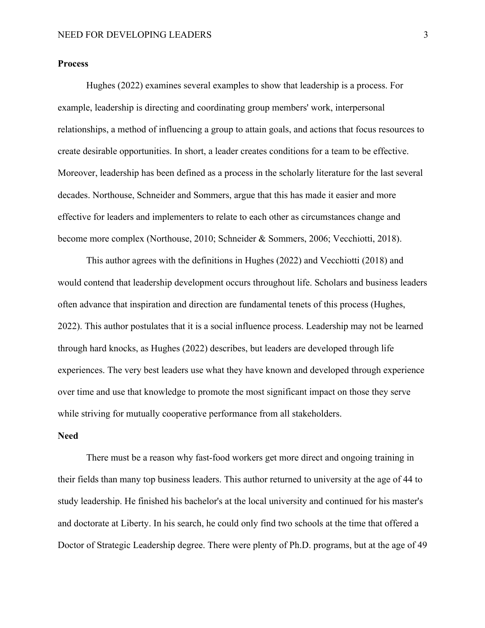# **Process**

Hughes (2022) examines several examples to show that leadership is a process. For example, leadership is directing and coordinating group members' work, interpersonal relationships, a method of influencing a group to attain goals, and actions that focus resources to create desirable opportunities. In short, a leader creates conditions for a team to be effective. Moreover, leadership has been defined as a process in the scholarly literature for the last several decades. Northouse, Schneider and Sommers, argue that this has made it easier and more effective for leaders and implementers to relate to each other as circumstances change and become more complex (Northouse, 2010; Schneider & Sommers, 2006; Vecchiotti, 2018).

This author agrees with the definitions in Hughes (2022) and Vecchiotti (2018) and would contend that leadership development occurs throughout life. Scholars and business leaders often advance that inspiration and direction are fundamental tenets of this process (Hughes, 2022). This author postulates that it is a social influence process. Leadership may not be learned through hard knocks, as Hughes (2022) describes, but leaders are developed through life experiences. The very best leaders use what they have known and developed through experience over time and use that knowledge to promote the most significant impact on those they serve while striving for mutually cooperative performance from all stakeholders.

### **Need**

There must be a reason why fast-food workers get more direct and ongoing training in their fields than many top business leaders. This author returned to university at the age of 44 to study leadership. He finished his bachelor's at the local university and continued for his master's and doctorate at Liberty. In his search, he could only find two schools at the time that offered a Doctor of Strategic Leadership degree. There were plenty of Ph.D. programs, but at the age of 49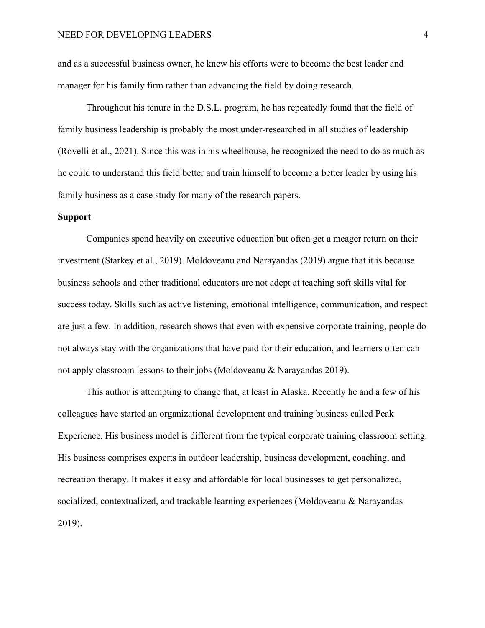and as a successful business owner, he knew his efforts were to become the best leader and manager for his family firm rather than advancing the field by doing research.

Throughout his tenure in the D.S.L. program, he has repeatedly found that the field of family business leadership is probably the most under-researched in all studies of leadership (Rovelli et al., 2021). Since this was in his wheelhouse, he recognized the need to do as much as he could to understand this field better and train himself to become a better leader by using his family business as a case study for many of the research papers.

### **Support**

Companies spend heavily on executive education but often get a meager return on their investment (Starkey et al., 2019). Moldoveanu and Narayandas (2019) argue that it is because business schools and other traditional educators are not adept at teaching soft skills vital for success today. Skills such as active listening, emotional intelligence, communication, and respect are just a few. In addition, research shows that even with expensive corporate training, people do not always stay with the organizations that have paid for their education, and learners often can not apply classroom lessons to their jobs (Moldoveanu & Narayandas 2019).

This author is attempting to change that, at least in Alaska. Recently he and a few of his colleagues have started an organizational development and training business called Peak Experience. His business model is different from the typical corporate training classroom setting. His business comprises experts in outdoor leadership, business development, coaching, and recreation therapy. It makes it easy and affordable for local businesses to get personalized, socialized, contextualized, and trackable learning experiences (Moldoveanu & Narayandas 2019).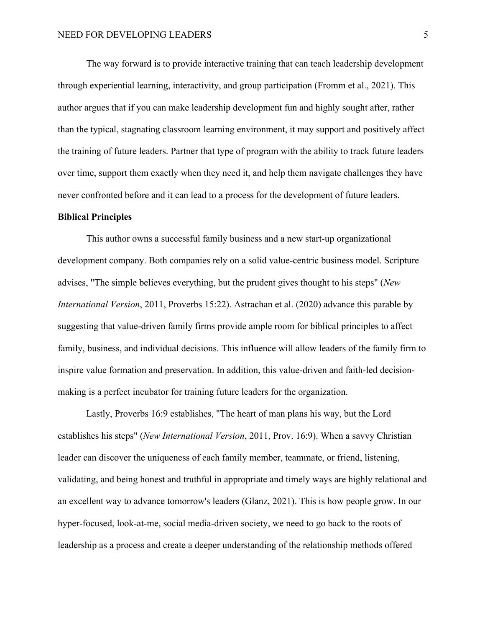The way forward is to provide interactive training that can teach leadership development through experiential learning, interactivity, and group participation (Fromm et al., 2021). This author argues that if you can make leadership development fun and highly sought after, rather than the typical, stagnating classroom learning environment, it may support and positively affect the training of future leaders. Partner that type of program with the ability to track future leaders over time, support them exactly when they need it, and help them navigate challenges they have never confronted before and it can lead to a process for the development of future leaders.

### **Biblical Principles**

This author owns a successful family business and a new start-up organizational development company. Both companies rely on a solid value-centric business model. Scripture advises, "The simple believes everything, but the prudent gives thought to his steps" (*New International Version*, 2011, Proverbs 15:22). Astrachan et al. (2020) advance this parable by suggesting that value-driven family firms provide ample room for biblical principles to affect family, business, and individual decisions. This influence will allow leaders of the family firm to inspire value formation and preservation. In addition, this value-driven and faith-led decisionmaking is a perfect incubator for training future leaders for the organization.

Lastly, Proverbs 16:9 establishes, "The heart of man plans his way, but the Lord establishes his steps" (*New International Version*, 2011, Prov. 16:9). When a savvy Christian leader can discover the uniqueness of each family member, teammate, or friend, listening, validating, and being honest and truthful in appropriate and timely ways are highly relational and an excellent way to advance tomorrow's leaders (Glanz, 2021). This is how people grow. In our hyper-focused, look-at-me, social media-driven society, we need to go back to the roots of leadership as a process and create a deeper understanding of the relationship methods offered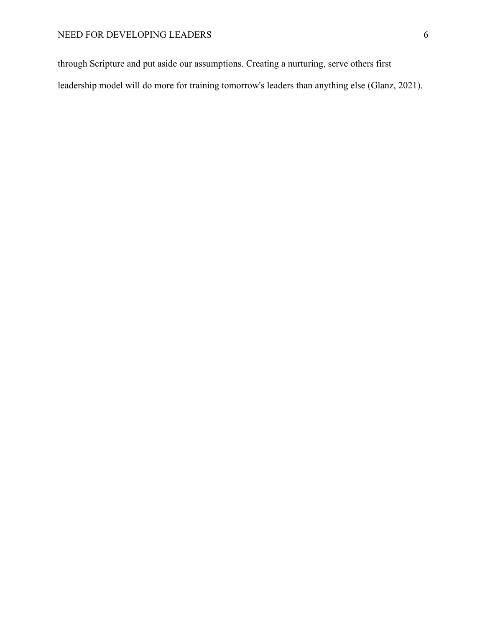through Scripture and put aside our assumptions. Creating a nurturing, serve others first leadership model will do more for training tomorrow's leaders than anything else (Glanz, 2021).